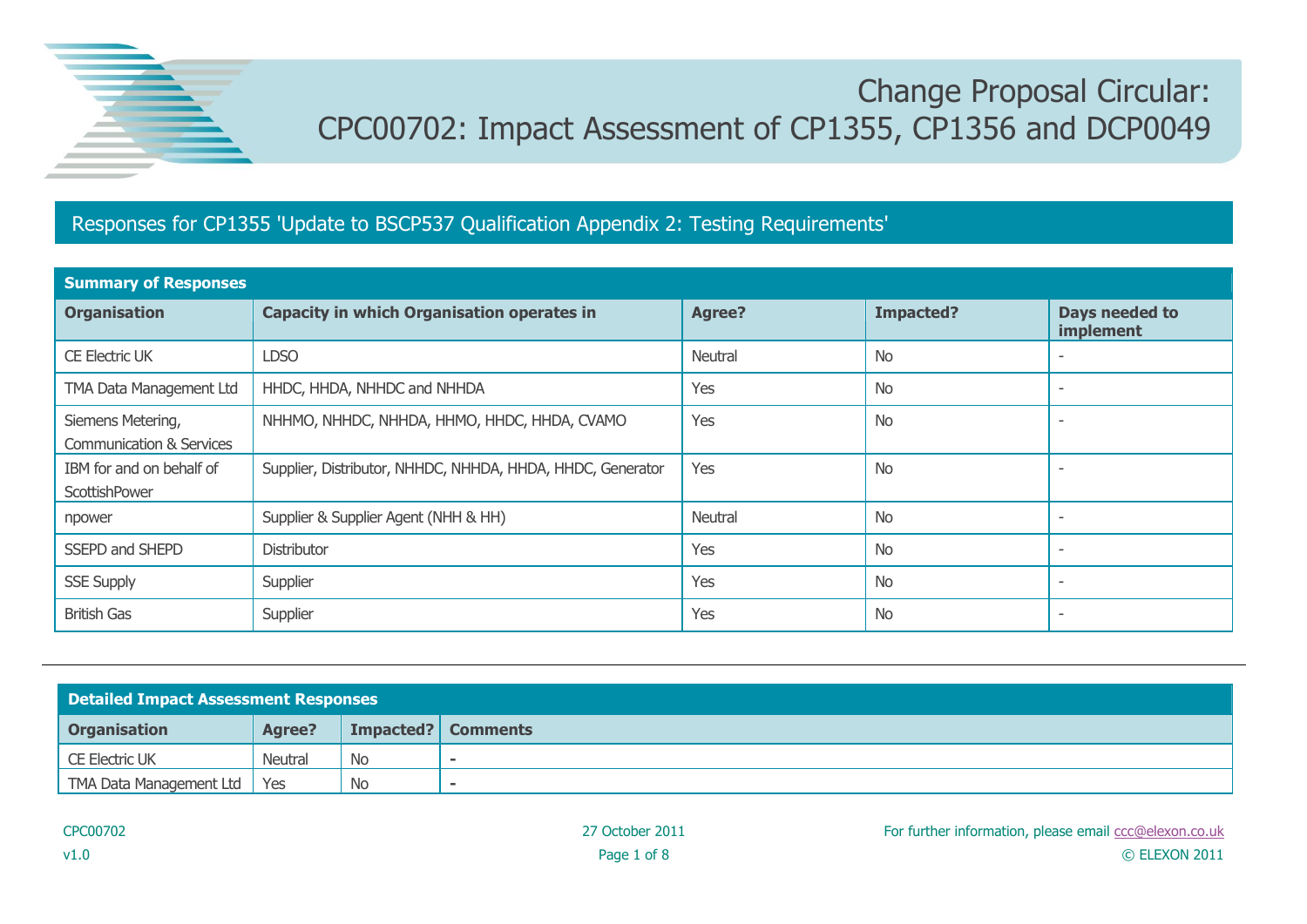

## Change Proposal Circular: CPC00702: Impact Assessment of CP1355, CP1356 and DCP0049

## Responses for CP1355 'Update to BSCP537 Qualification Appendix 2: Testing Requirements'

| <b>Summary of Responses</b>                              |                                                            |         |                  |                             |  |  |  |
|----------------------------------------------------------|------------------------------------------------------------|---------|------------------|-----------------------------|--|--|--|
| <b>Organisation</b>                                      | <b>Capacity in which Organisation operates in</b>          | Agree?  | <b>Impacted?</b> | Days needed to<br>implement |  |  |  |
| <b>CE Electric UK</b>                                    | <b>LDSO</b>                                                | Neutral | <b>No</b>        |                             |  |  |  |
| TMA Data Management Ltd                                  | HHDC, HHDA, NHHDC and NHHDA                                | Yes     | <b>No</b>        |                             |  |  |  |
| Siemens Metering,<br><b>Communication &amp; Services</b> | NHHMO, NHHDC, NHHDA, HHMO, HHDC, HHDA, CVAMO               | Yes     | <b>No</b>        |                             |  |  |  |
| IBM for and on behalf of<br>ScottishPower                | Supplier, Distributor, NHHDC, NHHDA, HHDA, HHDC, Generator | Yes     | <b>No</b>        |                             |  |  |  |
| npower                                                   | Supplier & Supplier Agent (NHH & HH)                       | Neutral | <b>No</b>        |                             |  |  |  |
| SSEPD and SHEPD                                          | <b>Distributor</b>                                         | Yes     | <b>No</b>        |                             |  |  |  |
| <b>SSE Supply</b>                                        | Supplier                                                   | Yes     | <b>No</b>        |                             |  |  |  |
| <b>British Gas</b>                                       | Supplier                                                   | Yes     | <b>No</b>        |                             |  |  |  |

| <b>Detailed Impact Assessment Responses</b> |                |           |                    |  |
|---------------------------------------------|----------------|-----------|--------------------|--|
| <b>Organisation</b>                         | <b>Agree?</b>  |           | Impacted? Comments |  |
| <b>CE Electric UK</b>                       | <b>Neutral</b> | <b>No</b> |                    |  |
| TMA Data Management Ltd                     | Yes            | <b>No</b> |                    |  |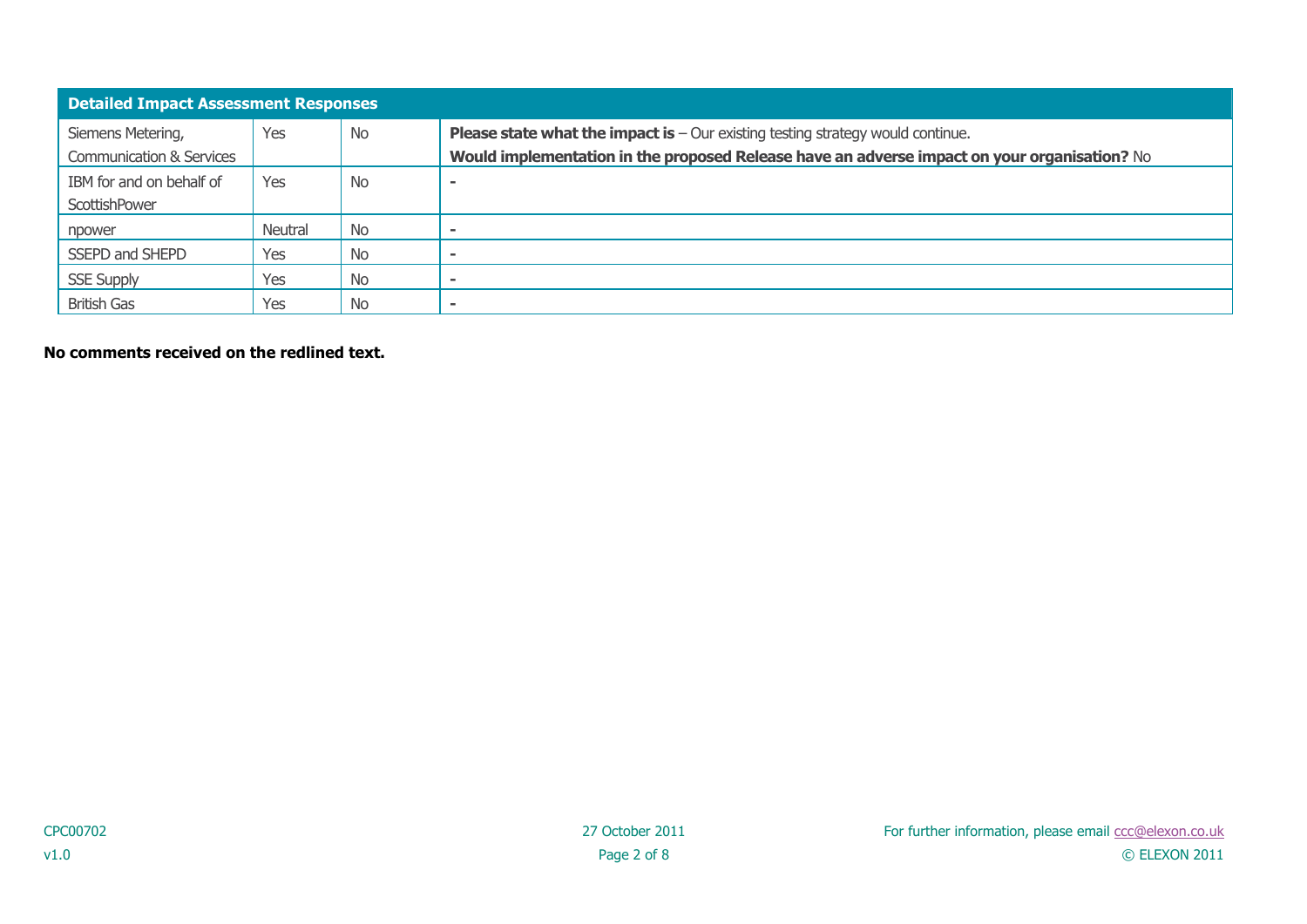| <b>Detailed Impact Assessment Responses</b>              |                |           |                                                                                                                                                                                          |  |
|----------------------------------------------------------|----------------|-----------|------------------------------------------------------------------------------------------------------------------------------------------------------------------------------------------|--|
| Siemens Metering,<br><b>Communication &amp; Services</b> | Yes            | <b>No</b> | <b>Please state what the impact is</b> $-$ Our existing testing strategy would continue.<br>Would implementation in the proposed Release have an adverse impact on your organisation? No |  |
| IBM for and on behalf of<br>ScottishPower                | Yes            | <b>No</b> |                                                                                                                                                                                          |  |
| npower                                                   | <b>Neutral</b> | No        |                                                                                                                                                                                          |  |
| SSEPD and SHEPD                                          | Yes            | <b>No</b> |                                                                                                                                                                                          |  |
| <b>SSE Supply</b>                                        | Yes            | <b>No</b> |                                                                                                                                                                                          |  |
| <b>British Gas</b>                                       | Yes            | No        |                                                                                                                                                                                          |  |

**No comments received on the redlined text.**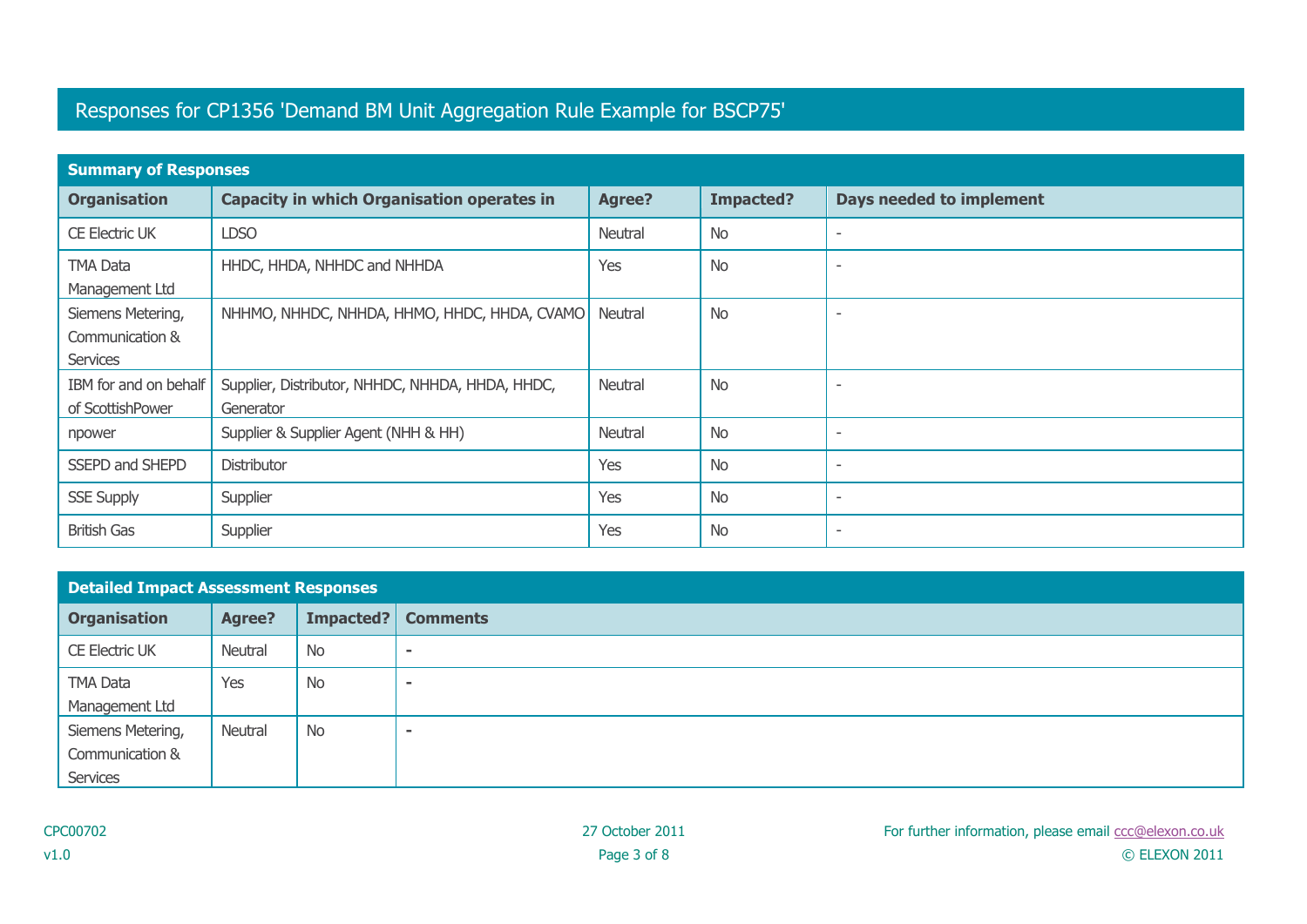## Responses for CP1356 'Demand BM Unit Aggregation Rule Example for BSCP75'

| <b>Summary of Responses</b>                      |                                                               |         |           |                                 |  |  |  |
|--------------------------------------------------|---------------------------------------------------------------|---------|-----------|---------------------------------|--|--|--|
| <b>Organisation</b>                              | <b>Capacity in which Organisation operates in</b>             | Agree?  | Impacted? | <b>Days needed to implement</b> |  |  |  |
| <b>CE Electric UK</b>                            | <b>LDSO</b>                                                   | Neutral | <b>No</b> |                                 |  |  |  |
| <b>TMA Data</b><br>Management Ltd                | HHDC, HHDA, NHHDC and NHHDA                                   | Yes     | <b>No</b> |                                 |  |  |  |
| Siemens Metering,<br>Communication &<br>Services | NHHMO, NHHDC, NHHDA, HHMO, HHDC, HHDA, CVAMO                  | Neutral | <b>No</b> |                                 |  |  |  |
| IBM for and on behalf<br>of ScottishPower        | Supplier, Distributor, NHHDC, NHHDA, HHDA, HHDC,<br>Generator | Neutral | <b>No</b> |                                 |  |  |  |
| npower                                           | Supplier & Supplier Agent (NHH & HH)                          | Neutral | <b>No</b> |                                 |  |  |  |
| SSEPD and SHEPD                                  | Distributor                                                   | Yes     | <b>No</b> | $\overline{\phantom{a}}$        |  |  |  |
| <b>SSE Supply</b>                                | Supplier                                                      | Yes     | <b>No</b> | $\overline{\phantom{a}}$        |  |  |  |
| <b>British Gas</b>                               | Supplier                                                      | Yes     | No        |                                 |  |  |  |

| <b>Detailed Impact Assessment Responses</b> |               |           |                 |
|---------------------------------------------|---------------|-----------|-----------------|
| <b>Organisation</b>                         | <b>Agree?</b> | Impacted? | <b>Comments</b> |
| <b>CE Electric UK</b>                       | Neutral       | <b>No</b> | $\sim$          |
| <b>TMA Data</b>                             | Yes           | No        |                 |
| Management Ltd                              |               |           |                 |
| Siemens Metering,                           | Neutral       | <b>No</b> | $\blacksquare$  |
| Communication &                             |               |           |                 |
| Services                                    |               |           |                 |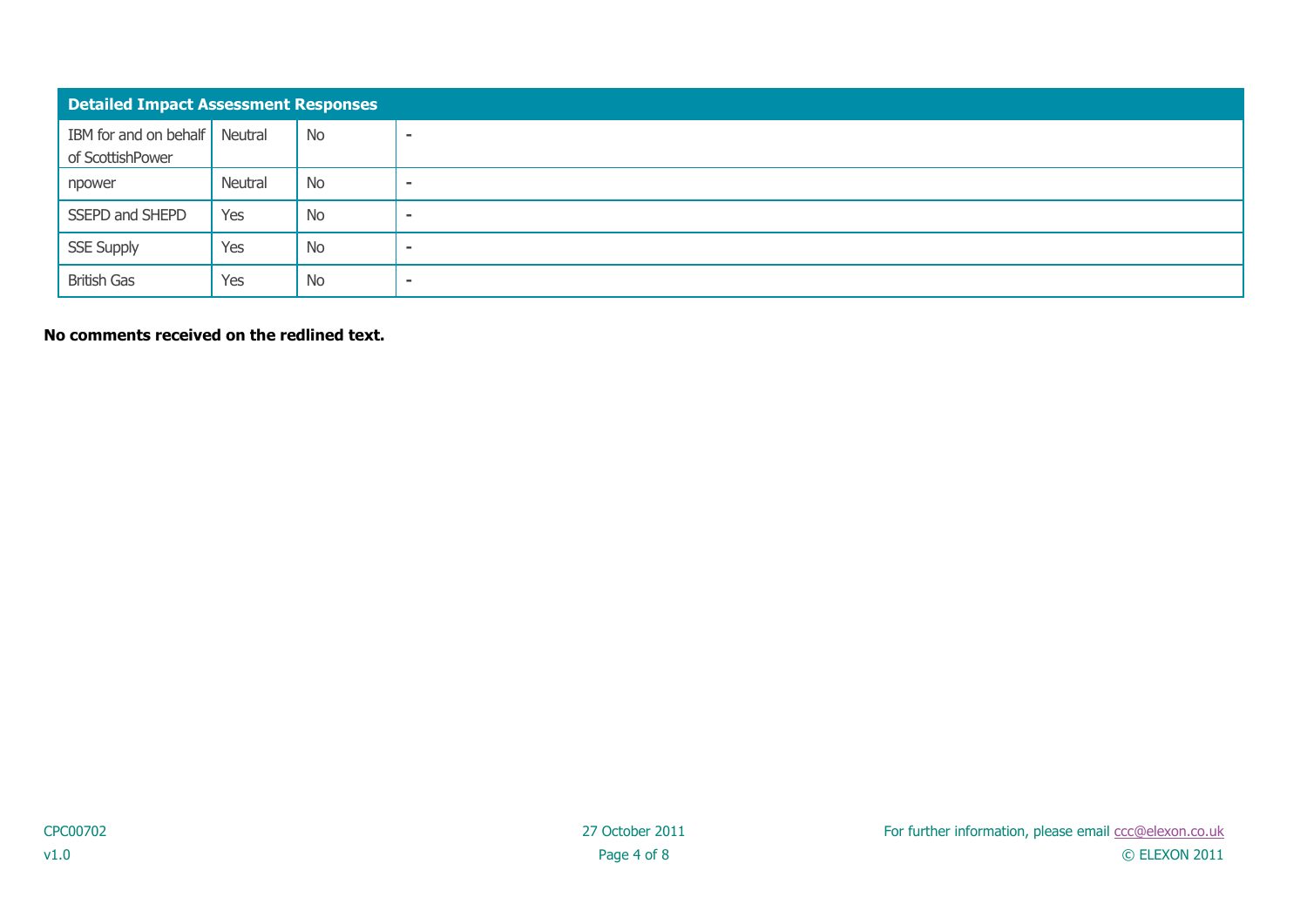| <b>Detailed Impact Assessment Responses</b>       |         |           |                          |
|---------------------------------------------------|---------|-----------|--------------------------|
| IBM for and on behalf Neutral<br>of ScottishPower |         | No        | $\overline{\phantom{a}}$ |
| npower                                            | Neutral | No        | $\overline{\phantom{a}}$ |
| SSEPD and SHEPD                                   | Yes     | No        | $\overline{\phantom{a}}$ |
| <b>SSE Supply</b>                                 | Yes     | No        | $\,$                     |
| <b>British Gas</b>                                | Yes     | <b>No</b> | ٠                        |

**No comments received on the redlined text.**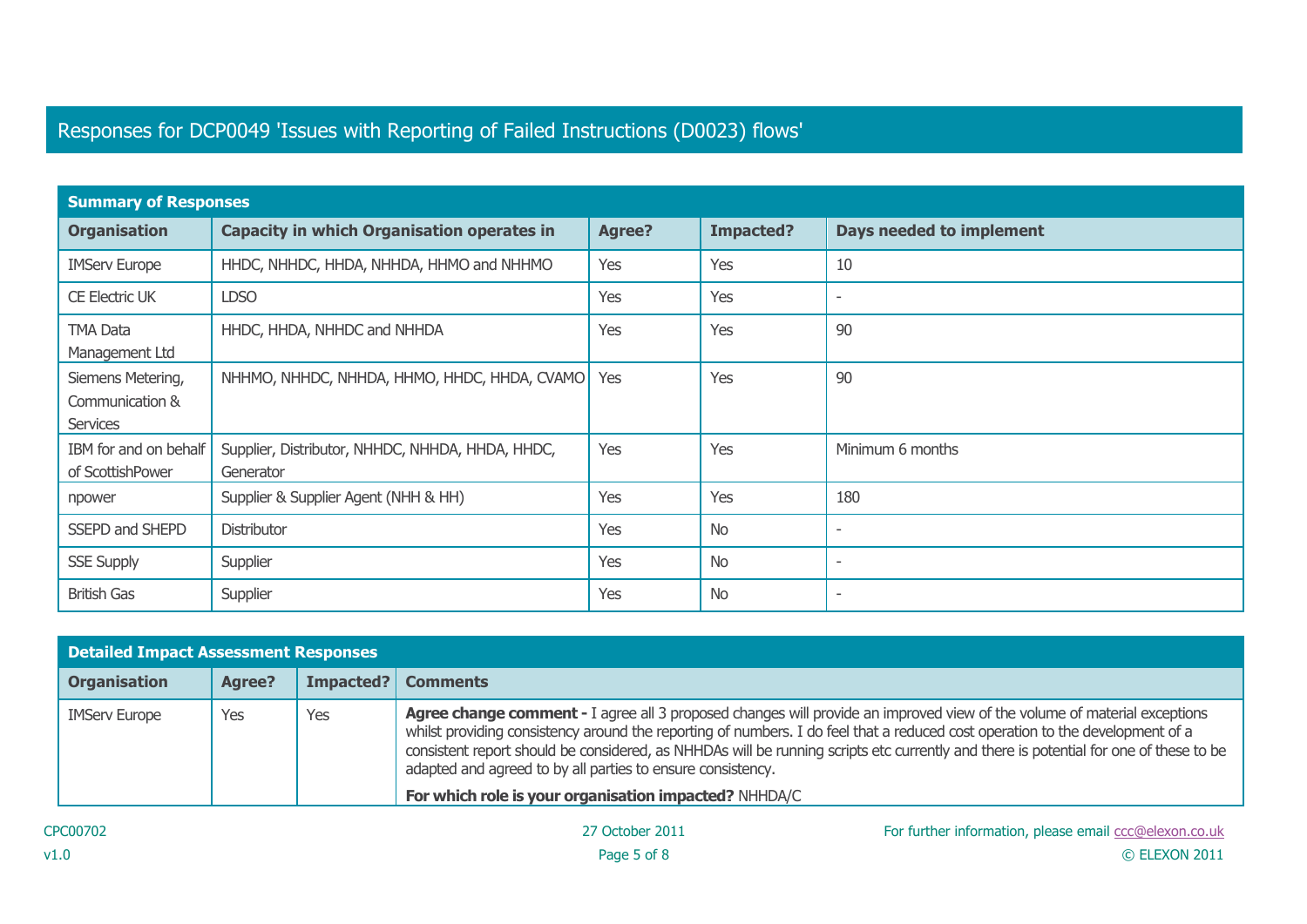## Responses for DCP0049 'Issues with Reporting of Failed Instructions (D0023) flows'

| <b>Summary of Responses</b>                             |                                                               |               |                  |                                 |  |  |  |
|---------------------------------------------------------|---------------------------------------------------------------|---------------|------------------|---------------------------------|--|--|--|
| <b>Organisation</b>                                     | <b>Capacity in which Organisation operates in</b>             | <b>Agree?</b> | <b>Impacted?</b> | <b>Days needed to implement</b> |  |  |  |
| <b>IMServ Europe</b>                                    | HHDC, NHHDC, HHDA, NHHDA, HHMO and NHHMO                      | Yes           | Yes              | 10                              |  |  |  |
| <b>CE Electric UK</b>                                   | <b>LDSO</b>                                                   | Yes           | Yes              | $\overline{\phantom{a}}$        |  |  |  |
| <b>TMA Data</b><br>Management Ltd                       | HHDC, HHDA, NHHDC and NHHDA                                   | Yes           | Yes              | 90                              |  |  |  |
| Siemens Metering,<br>Communication &<br><b>Services</b> | NHHMO, NHHDC, NHHDA, HHMO, HHDC, HHDA, CVAMO                  | Yes           | Yes              | 90                              |  |  |  |
| IBM for and on behalf<br>of ScottishPower               | Supplier, Distributor, NHHDC, NHHDA, HHDA, HHDC,<br>Generator | Yes           | Yes              | Minimum 6 months                |  |  |  |
| npower                                                  | Supplier & Supplier Agent (NHH & HH)                          | Yes           | Yes              | 180                             |  |  |  |
| SSEPD and SHEPD                                         | Distributor                                                   | Yes           | <b>No</b>        | $\overline{\phantom{a}}$        |  |  |  |
| <b>SSE Supply</b>                                       | Supplier                                                      | Yes           | <b>No</b>        |                                 |  |  |  |
| <b>British Gas</b>                                      | Supplier                                                      | Yes           | <b>No</b>        |                                 |  |  |  |

| <b>Detailed Impact Assessment Responses</b> |               |           |                                                                                                                                                                                                                                                                                                                                                                                                                                                                          |
|---------------------------------------------|---------------|-----------|--------------------------------------------------------------------------------------------------------------------------------------------------------------------------------------------------------------------------------------------------------------------------------------------------------------------------------------------------------------------------------------------------------------------------------------------------------------------------|
| <b>Organisation</b>                         | <b>Agree?</b> | Impacted? | <b>Comments</b>                                                                                                                                                                                                                                                                                                                                                                                                                                                          |
| <b>IMServ Europe</b>                        | Yes           | Yes       | <b>Agree change comment - I</b> agree all 3 proposed changes will provide an improved view of the volume of material exceptions<br>whilst providing consistency around the reporting of numbers. I do feel that a reduced cost operation to the development of a<br>consistent report should be considered, as NHHDAs will be running scripts etc currently and there is potential for one of these to be<br>adapted and agreed to by all parties to ensure consistency. |
|                                             |               |           | For which role is your organisation impacted? NHHDA/C                                                                                                                                                                                                                                                                                                                                                                                                                    |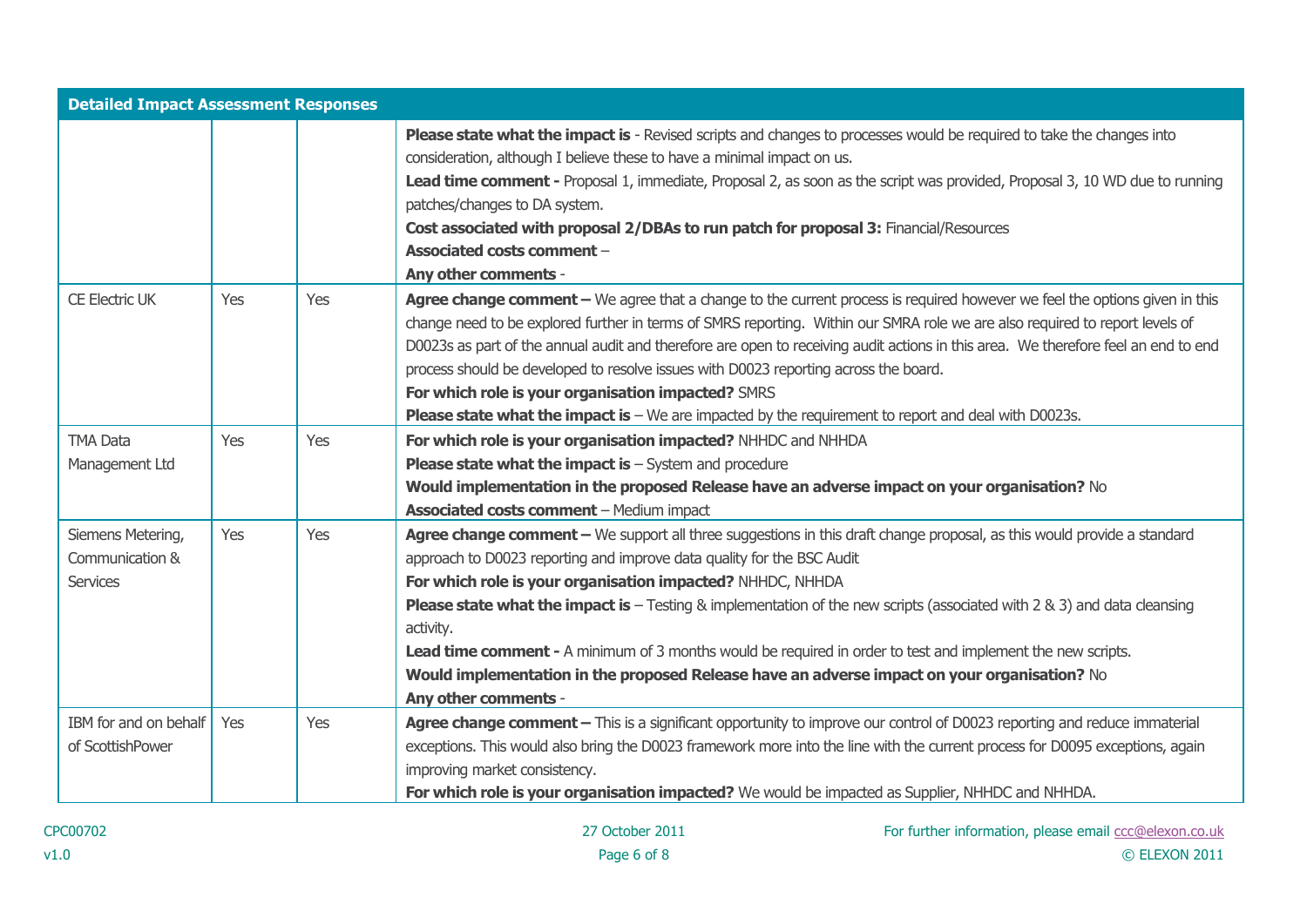| <b>Detailed Impact Assessment Responses</b> |     |            |                                                                                                                                    |
|---------------------------------------------|-----|------------|------------------------------------------------------------------------------------------------------------------------------------|
|                                             |     |            | Please state what the impact is - Revised scripts and changes to processes would be required to take the changes into              |
|                                             |     |            | consideration, although I believe these to have a minimal impact on us.                                                            |
|                                             |     |            | Lead time comment - Proposal 1, immediate, Proposal 2, as soon as the script was provided, Proposal 3, 10 WD due to running        |
|                                             |     |            | patches/changes to DA system.                                                                                                      |
|                                             |     |            | Cost associated with proposal 2/DBAs to run patch for proposal 3: Financial/Resources                                              |
|                                             |     |            | <b>Associated costs comment -</b>                                                                                                  |
|                                             |     |            | Any other comments -                                                                                                               |
| <b>CE Electric UK</b>                       | Yes | Yes        | Agree change comment - We agree that a change to the current process is required however we feel the options given in this         |
|                                             |     |            | change need to be explored further in terms of SMRS reporting. Within our SMRA role we are also required to report levels of       |
|                                             |     |            | D0023s as part of the annual audit and therefore are open to receiving audit actions in this area. We therefore feel an end to end |
|                                             |     |            | process should be developed to resolve issues with D0023 reporting across the board.                                               |
|                                             |     |            | For which role is your organisation impacted? SMRS                                                                                 |
|                                             |     |            | <b>Please state what the impact is</b> $-$ We are impacted by the requirement to report and deal with D0023s.                      |
| <b>TMA Data</b>                             | Yes | <b>Yes</b> | For which role is your organisation impacted? NHHDC and NHHDA                                                                      |
| Management Ltd                              |     |            | <b>Please state what the impact is <math>-</math></b> System and procedure                                                         |
|                                             |     |            | Would implementation in the proposed Release have an adverse impact on your organisation? No                                       |
|                                             |     |            | <b>Associated costs comment - Medium impact</b>                                                                                    |
| Siemens Metering,                           | Yes | Yes        | Agree change comment - We support all three suggestions in this draft change proposal, as this would provide a standard            |
| Communication &                             |     |            | approach to D0023 reporting and improve data quality for the BSC Audit                                                             |
| <b>Services</b>                             |     |            | For which role is your organisation impacted? NHHDC, NHHDA                                                                         |
|                                             |     |            | <b>Please state what the impact is</b> $-$ Testing & implementation of the new scripts (associated with 2 & 3) and data cleansing  |
|                                             |     |            | activity.                                                                                                                          |
|                                             |     |            | Lead time comment - A minimum of 3 months would be required in order to test and implement the new scripts.                        |
|                                             |     |            | Would implementation in the proposed Release have an adverse impact on your organisation? No                                       |
|                                             |     |            | Any other comments -                                                                                                               |
| IBM for and on behalf                       | Yes | Yes        | Agree change comment - This is a significant opportunity to improve our control of D0023 reporting and reduce immaterial           |
| of ScottishPower                            |     |            | exceptions. This would also bring the D0023 framework more into the line with the current process for D0095 exceptions, again      |
|                                             |     |            | improving market consistency.                                                                                                      |
|                                             |     |            | For which role is your organisation impacted? We would be impacted as Supplier, NHHDC and NHHDA.                                   |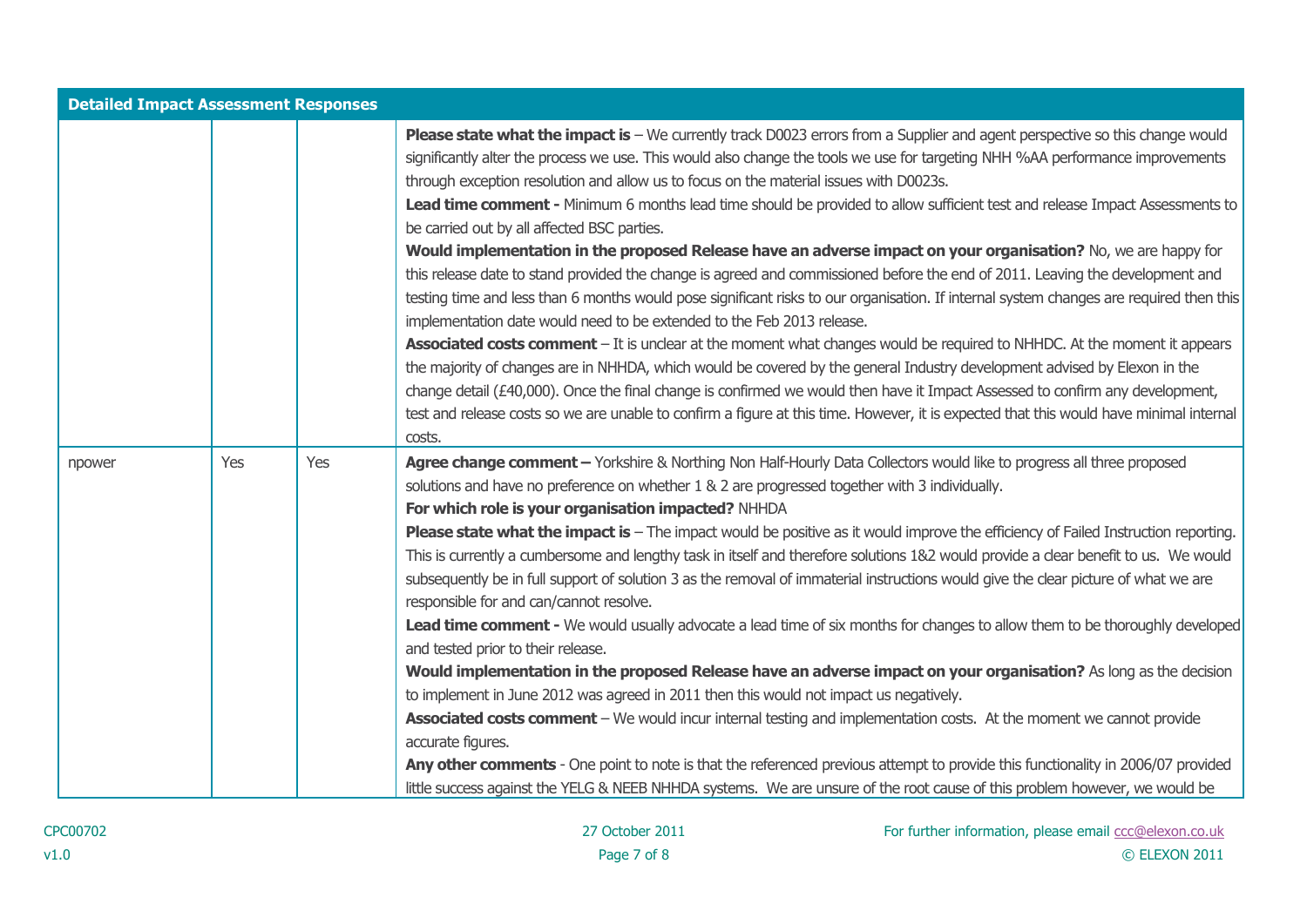| <b>Detailed Impact Assessment Responses</b> |     |     |                                                                                                                                                                                                                                                                                                                                                                                                                                                                                                                                                                                                                                                                                                                                                                                                                                                                                                                                                                                                                                                                                                                                                                                                                                                                                                                                                                                                                                                                                                                                                               |  |
|---------------------------------------------|-----|-----|---------------------------------------------------------------------------------------------------------------------------------------------------------------------------------------------------------------------------------------------------------------------------------------------------------------------------------------------------------------------------------------------------------------------------------------------------------------------------------------------------------------------------------------------------------------------------------------------------------------------------------------------------------------------------------------------------------------------------------------------------------------------------------------------------------------------------------------------------------------------------------------------------------------------------------------------------------------------------------------------------------------------------------------------------------------------------------------------------------------------------------------------------------------------------------------------------------------------------------------------------------------------------------------------------------------------------------------------------------------------------------------------------------------------------------------------------------------------------------------------------------------------------------------------------------------|--|
|                                             |     |     | <b>Please state what the impact is</b> $-$ We currently track D0023 errors from a Supplier and agent perspective so this change would<br>significantly alter the process we use. This would also change the tools we use for targeting NHH %AA performance improvements<br>through exception resolution and allow us to focus on the material issues with D0023s.<br>Lead time comment - Minimum 6 months lead time should be provided to allow sufficient test and release Impact Assessments to<br>be carried out by all affected BSC parties.<br>Would implementation in the proposed Release have an adverse impact on your organisation? No, we are happy for<br>this release date to stand provided the change is agreed and commissioned before the end of 2011. Leaving the development and<br>testing time and less than 6 months would pose significant risks to our organisation. If internal system changes are required then this<br>implementation date would need to be extended to the Feb 2013 release.<br>Associated costs comment - It is unclear at the moment what changes would be required to NHHDC. At the moment it appears<br>the majority of changes are in NHHDA, which would be covered by the general Industry development advised by Elexon in the<br>change detail (£40,000). Once the final change is confirmed we would then have it Impact Assessed to confirm any development,<br>test and release costs so we are unable to confirm a figure at this time. However, it is expected that this would have minimal internal |  |
|                                             |     |     | costs.                                                                                                                                                                                                                                                                                                                                                                                                                                                                                                                                                                                                                                                                                                                                                                                                                                                                                                                                                                                                                                                                                                                                                                                                                                                                                                                                                                                                                                                                                                                                                        |  |
| npower                                      | Yes | Yes | Agree change comment - Yorkshire & Northing Non Half-Hourly Data Collectors would like to progress all three proposed<br>solutions and have no preference on whether 1 & 2 are progressed together with 3 individually.<br>For which role is your organisation impacted? NHHDA                                                                                                                                                                                                                                                                                                                                                                                                                                                                                                                                                                                                                                                                                                                                                                                                                                                                                                                                                                                                                                                                                                                                                                                                                                                                                |  |
|                                             |     |     | <b>Please state what the impact is</b> – The impact would be positive as it would improve the efficiency of Failed Instruction reporting.<br>This is currently a cumbersome and lengthy task in itself and therefore solutions 1&2 would provide a clear benefit to us. We would<br>subsequently be in full support of solution 3 as the removal of immaterial instructions would give the clear picture of what we are<br>responsible for and can/cannot resolve.<br>Lead time comment - We would usually advocate a lead time of six months for changes to allow them to be thoroughly developed<br>and tested prior to their release.<br>Would implementation in the proposed Release have an adverse impact on your organisation? As long as the decision<br>to implement in June 2012 was agreed in 2011 then this would not impact us negatively.<br>Associated costs comment - We would incur internal testing and implementation costs. At the moment we cannot provide<br>accurate figures.<br>Any other comments - One point to note is that the referenced previous attempt to provide this functionality in 2006/07 provided<br>little success against the YELG & NEEB NHHDA systems. We are unsure of the root cause of this problem however, we would be                                                                                                                                                                                                                                                                                        |  |